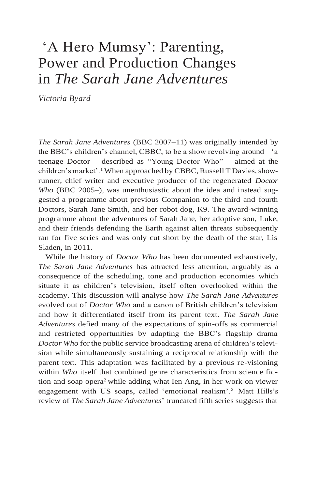## 'A Hero Mumsy': Parenting, Power and Production Changes in *The Sarah Jane Adventures*

*Victoria Byard*

*The Sarah Jane Adventures* (BBC 2007–11) was originally intended by the BBC's children's channel, CBBC, to be a show revolving around 'a teenage Doctor – described as "Young Doctor Who" – aimed at the children's market'.<sup>1</sup> When approached by CBBC, Russell T Davies, showrunner, chief writer and executive producer of the regenerated *Doctor Who* (BBC 2005–), was unenthusiastic about the idea and instead suggested a programme about previous Companion to the third and fourth Doctors, Sarah Jane Smith, and her robot dog, K9. The award-winning programme about the adventures of Sarah Jane, her adoptive son, Luke, and their friends defending the Earth against alien threats subsequently ran for five series and was only cut short by the death of the star, Lis Sladen, in 2011.

While the history of *Doctor Who* has been documented exhaustively, *The Sarah Jane Adventures* has attracted less attention, arguably as a consequence of the scheduling, tone and production economies which situate it as children's television, itself often overlooked within the academy. This discussion will analyse how *The Sarah Jane Adventures*  evolved out of *Doctor Who* and a canon of British children's television and how it differentiated itself from its parent text. *The Sarah Jane Adventures* defied many of the expectations of spin-offs as commercial and restricted opportunities by adapting the BBC's flagship drama *Doctor Who* for the public service broadcasting arena of children's television while simultaneously sustaining a reciprocal relationship with the parent text. This adaptation was facilitated by a previous re-visioning within *Who* itself that combined genre characteristics from science fiction and soap opera<sup>2</sup> while adding what Ien Ang, in her work on viewer engagement with US soaps, called 'emotional realism'.<sup>3</sup> Matt Hills's review of *The Sarah Jane Adventures*' truncated fifth series suggests that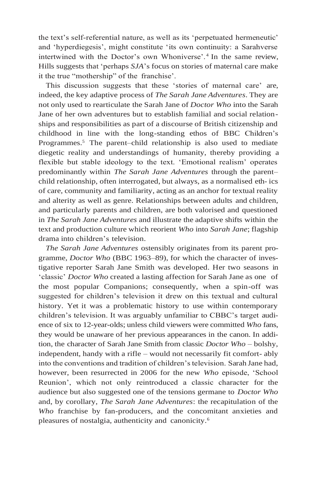the text's self-referential nature, as well as its 'perpetuated hermeneutic' and 'hyperdiegesis', might constitute 'its own continuity: a Sarahverse intertwined with the Doctor's own Whoniverse'.4 In the same review, Hills suggests that 'perhaps *SJA*'s focus on stories of maternal care make it the true "mothership" of the franchise'.

This discussion suggests that these 'stories of maternal care' are, indeed, the key adaptive process of *The Sarah Jane Adventures*. They are not only used to rearticulate the Sarah Jane of *Doctor Who* into the Sarah Jane of her own adventures but to establish familial and social relationships and responsibilities as part of a discourse of British citizenship and childhood in line with the long-standing ethos of BBC Children's Programmes.<sup>5</sup> The parent–child relationship is also used to mediate diegetic reality and understandings of humanity, thereby providing a flexible but stable ideology to the text. 'Emotional realism' operates predominantly within *The Sarah Jane Adventures* through the parent– child relationship, often interrogated, but always, as a normalised eth- ics of care, community and familiarity, acting as an anchor for textual reality and alterity as well as genre. Relationships between adults and children, and particularly parents and children, are both valorised and questioned in *The Sarah Jane Adventures* and illustrate the adaptive shifts within the text and production culture which reorient *Who* into *Sarah Jane*; flagship drama into children's television.

*The Sarah Jane Adventures* ostensibly originates from its parent programme, *Doctor Who* (BBC 1963–89), for which the character of investigative reporter Sarah Jane Smith was developed. Her two seasons in 'classic' *Doctor Who* created a lasting affection for Sarah Jane as one of the most popular Companions; consequently, when a spin-off was suggested for children's television it drew on this textual and cultural history. Yet it was a problematic history to use within contemporary children's television. It was arguably unfamiliar to CBBC's target audience of six to 12-year-olds; unless child viewers were committed *Who* fans, they would be unaware of her previous appearances in the canon. In addition, the character of Sarah Jane Smith from classic *Doctor Who* – bolshy, independent, handy with a rifle – would not necessarily fit comfort- ably into the conventions and tradition of children's television. Sarah Jane had, however, been resurrected in 2006 for the new *Who* episode, 'School Reunion', which not only reintroduced a classic character for the audience but also suggested one of the tensions germane to *Doctor Who*  and, by corollary, *The Sarah Jane Adventures*: the recapitulation of the *Who* franchise by fan-producers, and the concomitant anxieties and pleasures of nostalgia, authenticity and canonicity.<sup>6</sup>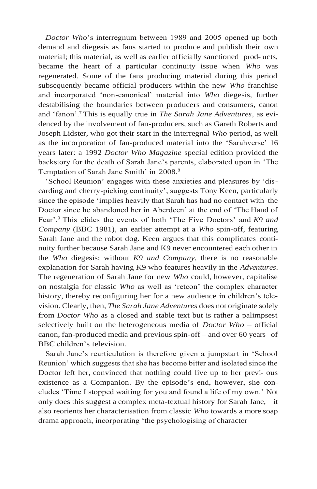*Doctor Who*'s interregnum between 1989 and 2005 opened up both demand and diegesis as fans started to produce and publish their own material; this material, as well as earlier officially sanctioned prod- ucts, became the heart of a particular continuity issue when *Who* was regenerated. Some of the fans producing material during this period subsequently became official producers within the new *Who* franchise and incorporated 'non-canonical' material into *Who* diegesis, further destabilising the boundaries between producers and consumers, canon and 'fanon'.7 This is equally true in *The Sarah Jane Adventures*, as evidenced by the involvement of fan-producers, such as Gareth Roberts and Joseph Lidster, who got their start in the interregnal *Who* period, as well as the incorporation of fan-produced material into the 'Sarahverse' 16 years later: a 1992 *Doctor Who Magazine* special edition provided the backstory for the death of Sarah Jane's parents, elaborated upon in 'The Temptation of Sarah Jane Smith' in 2008.<sup>8</sup>

'School Reunion' engages with these anxieties and pleasures by 'discarding and cherry-picking continuity', suggests Tony Keen, particularly since the episode 'implies heavily that Sarah has had no contact with the Doctor since he abandoned her in Aberdeen' at the end of 'The Hand of Fear'.9 This elides the events of both 'The Five Doctors' and *K9 and Company* (BBC 1981), an earlier attempt at a *Who* spin-off, featuring Sarah Jane and the robot dog. Keen argues that this complicates continuity further because Sarah Jane and K9 never encountered each other in the *Who* diegesis; without *K9 and Company*, there is no reasonable explanation for Sarah having K9 who features heavily in the *Adventures*. The regeneration of Sarah Jane for new *Who* could, however, capitalise on nostalgia for classic *Who* as well as 'retcon' the complex character history, thereby reconfiguring her for a new audience in children's television. Clearly, then, *The Sarah Jane Adventures* does not originate solely from *Doctor Who* as a closed and stable text but is rather a palimpsest selectively built on the heterogeneous media of *Doctor Who* – official canon, fan-produced media and previous spin-off – and over 60 years of BBC children's television.

Sarah Jane's rearticulation is therefore given a jumpstart in 'School Reunion' which suggests that she has become bitter and isolated since the Doctor left her, convinced that nothing could live up to her previ- ous existence as a Companion. By the episode's end, however, she concludes 'Time I stopped waiting for you and found a life of my own.' Not only does this suggest a complex meta-textual history for Sarah Jane, it also reorients her characterisation from classic *Who* towards a more soap drama approach, incorporating 'the psychologising of character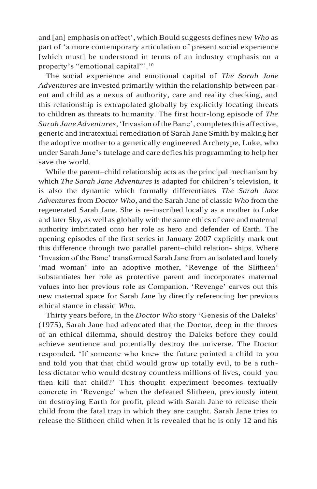and [an] emphasis on affect', which Bould suggests defines new *Who* as part of 'a more contemporary articulation of present social experience [which must] be understood in terms of an industry emphasis on a property's "emotional capital"'.<sup>10</sup>

The social experience and emotional capital of *The Sarah Jane Adventures* are invested primarily within the relationship between parent and child as a nexus of authority, care and reality checking, and this relationship is extrapolated globally by explicitly locating threats to children as threats to humanity. The first hour-long episode of *The*  Sarah *Jane Adventures*, 'Invasion of the Bane', completes this affective, generic and intratextual remediation of Sarah Jane Smith by making her the adoptive mother to a genetically engineered Archetype, Luke, who under Sarah Jane's tutelage and care defies his programming to help her save the world.

While the parent–child relationship acts as the principal mechanism by which *The Sarah Jane Adventures* is adapted for children's television, it is also the dynamic which formally differentiates *The Sarah Jane Adventures* from *Doctor Who*, and the Sarah Jane of classic *Who* from the regenerated Sarah Jane. She is re-inscribed locally as a mother to Luke and later Sky, as well as globally with the same ethics of care and maternal authority imbricated onto her role as hero and defender of Earth. The opening episodes of the first series in January 2007 explicitly mark out this difference through two parallel parent–child relation- ships. Where 'Invasion of the Bane' transformed Sarah Jane from an isolated and lonely 'mad woman' into an adoptive mother, 'Revenge of the Slitheen' substantiates her role as protective parent and incorporates maternal values into her previous role as Companion. 'Revenge' carves out this new maternal space for Sarah Jane by directly referencing her previous ethical stance in classic *Who*.

Thirty years before, in the *Doctor Who* story 'Genesis of the Daleks' (1975), Sarah Jane had advocated that the Doctor, deep in the throes of an ethical dilemma, should destroy the Daleks before they could achieve sentience and potentially destroy the universe. The Doctor responded, 'If someone who knew the future pointed a child to you and told you that that child would grow up totally evil, to be a ruthless dictator who would destroy countless millions of lives, could you then kill that child?' This thought experiment becomes textually concrete in 'Revenge' when the defeated Slitheen, previously intent on destroying Earth for profit, plead with Sarah Jane to release their child from the fatal trap in which they are caught. Sarah Jane tries to release the Slitheen child when it is revealed that he is only 12 and his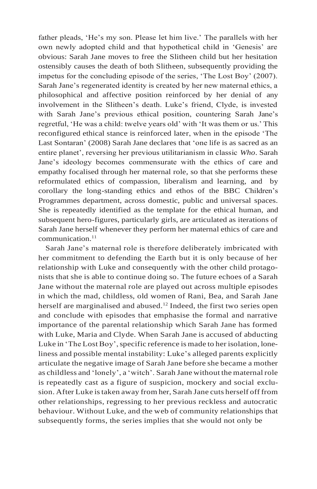father pleads, 'He's my son. Please let him live.' The parallels with her own newly adopted child and that hypothetical child in 'Genesis' are obvious: Sarah Jane moves to free the Slitheen child but her hesitation ostensibly causes the death of both Slitheen, subsequently providing the impetus for the concluding episode of the series, 'The Lost Boy' (2007). Sarah Jane's regenerated identity is created by her new maternal ethics, a philosophical and affective position reinforced by her denial of any involvement in the Slitheen's death. Luke's friend, Clyde, is invested with Sarah Jane's previous ethical position, countering Sarah Jane's regretful, 'He was a child: twelve years old' with 'It was them or us.' This reconfigured ethical stance is reinforced later, when in the episode 'The Last Sontaran' (2008) Sarah Jane declares that 'one life is as sacred as an entire planet', reversing her previous utilitarianism in classic *Who*. Sarah Jane's ideology becomes commensurate with the ethics of care and empathy focalised through her maternal role, so that she performs these reformulated ethics of compassion, liberalism and learning, and by corollary the long-standing ethics and ethos of the BBC Children's Programmes department, across domestic, public and universal spaces. She is repeatedly identified as the template for the ethical human, and subsequent hero-figures, particularly girls, are articulated as iterations of Sarah Jane herself whenever they perform her maternal ethics of care and communication.<sup>11</sup>

Sarah Jane's maternal role is therefore deliberately imbricated with her commitment to defending the Earth but it is only because of her relationship with Luke and consequently with the other child protagonists that she is able to continue doing so. The future echoes of a Sarah Jane without the maternal role are played out across multiple episodes in which the mad, childless, old women of Rani, Bea, and Sarah Jane herself are marginalised and abused.<sup>12</sup> Indeed, the first two series open and conclude with episodes that emphasise the formal and narrative importance of the parental relationship which Sarah Jane has formed with Luke, Maria and Clyde. When Sarah Jane is accused of abducting Luke in 'The Lost Boy', specific reference is made to her isolation, loneliness and possible mental instability: Luke's alleged parents explicitly articulate the negative image of Sarah Jane before she became a mother as childless and 'lonely', a 'witch'. Sarah Jane without the maternal role is repeatedly cast as a figure of suspicion, mockery and social exclusion. After Luke istaken away from her, Sarah Jane cuts herself off from other relationships, regressing to her previous reckless and autocratic behaviour. Without Luke, and the web of community relationships that subsequently forms, the series implies that she would not only be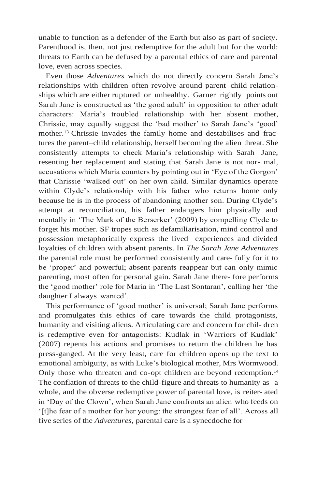unable to function as a defender of the Earth but also as part of society. Parenthood is, then, not just redemptive for the adult but for the world: threats to Earth can be defused by a parental ethics of care and parental love, even across species.

Even those *Adventures* which do not directly concern Sarah Jane's relationships with children often revolve around parent–child relationships which are either ruptured or unhealthy. Garner rightly points out Sarah Jane is constructed as 'the good adult' in opposition to other adult characters: Maria's troubled relationship with her absent mother, Chrissie, may equally suggest the 'bad mother' to Sarah Jane's 'good' mother.13 Chrissie invades the family home and destabilises and fractures the parent–child relationship, herself becoming the alien threat. She consistently attempts to check Maria's relationship with Sarah Jane, resenting her replacement and stating that Sarah Jane is not nor- mal, accusations which Maria counters by pointing out in 'Eye of the Gorgon' that Chrissie 'walked out' on her own child. Similar dynamics operate within Clyde's relationship with his father who returns home only because he is in the process of abandoning another son. During Clyde's attempt at reconciliation, his father endangers him physically and mentally in 'The Mark of the Berserker' (2009) by compelling Clyde to forget his mother. SF tropes such as defamiliarisation, mind control and possession metaphorically express the lived experiences and divided loyalties of children with absent parents. In *The Sarah Jane Adventures*  the parental role must be performed consistently and care- fully for it to be 'proper' and powerful; absent parents reappear but can only mimic parenting, most often for personal gain. Sarah Jane there- fore performs the 'good mother' role for Maria in 'The Last Sontaran', calling her 'the daughter I always wanted'.

This performance of 'good mother' is universal; Sarah Jane performs and promulgates this ethics of care towards the child protagonists, humanity and visiting aliens. Articulating care and concern for chil- dren is redemptive even for antagonists: Kudlak in 'Warriors of Kudlak' (2007) repents his actions and promises to return the children he has press-ganged. At the very least, care for children opens up the text to emotional ambiguity, as with Luke's biological mother, Mrs Wormwood. Only those who threaten and co-opt children are beyond redemption.<sup>14</sup> The conflation of threats to the child-figure and threats to humanity as a whole, and the obverse redemptive power of parental love, is reiter- ated in 'Day of the Clown', when Sarah Jane confronts an alien who feeds on '[t]he fear of a mother for her young: the strongest fear of all'. Across all five series of the *Adventures*, parental care is a synecdoche for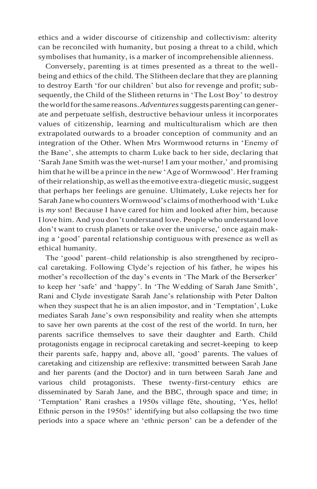ethics and a wider discourse of citizenship and collectivism: alterity can be reconciled with humanity, but posing a threat to a child, which symbolises that humanity, is a marker of incomprehensible alienness.

Conversely, parenting is at times presented as a threat to the wellbeing and ethics of the child. The Slitheen declare that they are planning to destroy Earth 'for our children' but also for revenge and profit; subsequently, the Child of the Slitheen returns in 'The Lost Boy' to destroy theworldforthe same reasons.*Adventures*suggests parenting can generate and perpetuate selfish, destructive behaviour unless it incorporates values of citizenship, learning and multiculturalism which are then extrapolated outwards to a broader conception of community and an integration of the Other. When Mrs Wormwood returns in 'Enemy of the Bane', she attempts to charm Luke back to her side, declaring that 'Sarah Jane Smith wasthe wet-nurse! I am your mother,' and promising him that he will be a prince in the new 'Age of Wormwood'. Her framing oftheirrelationship, as well asthe emotive extra-diegetic music,suggest that perhaps her feelings are genuine. Ultimately, Luke rejects her for Sarah Jane who counters Wormwood's claims of motherhood with 'Luke is *my* son! Because I have cared for him and looked after him, because I love him. And you don't understand love. People who understand love don't want to crush planets or take over the universe,' once again making a 'good' parental relationship contiguous with presence as well as ethical humanity.

The 'good' parent–child relationship is also strengthened by reciprocal caretaking. Following Clyde's rejection of his father, he wipes his mother's recollection of the day's events in 'The Mark of the Berserker' to keep her 'safe' and 'happy'. In 'The Wedding of Sarah Jane Smith', Rani and Clyde investigate Sarah Jane's relationship with Peter Dalton when they suspect that he is an alien impostor, and in 'Temptation', Luke mediates Sarah Jane's own responsibility and reality when she attempts to save her own parents at the cost of the rest of the world. In turn, her parents sacrifice themselves to save their daughter and Earth. Child protagonists engage in reciprocal caretaking and secret-keeping to keep their parents safe, happy and, above all, 'good' parents. The values of caretaking and citizenship are reflexive: transmitted between Sarah Jane and her parents (and the Doctor) and in turn between Sarah Jane and various child protagonists. These twenty-first-century ethics are disseminated by Sarah Jane, and the BBC, through space and time; in 'Temptation' Rani crashes a 1950s village fête, shouting, 'Yes, hello! Ethnic person in the 1950s!' identifying but also collapsing the two time periods into a space where an 'ethnic person' can be a defender of the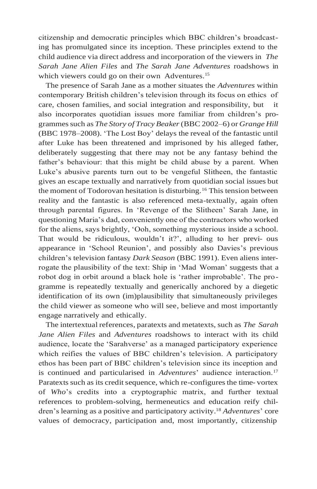citizenship and democratic principles which BBC children's broadcasting has promulgated since its inception. These principles extend to the child audience via direct address and incorporation of the viewers in *The Sarah Jane Alien Files* and *The Sarah Jane Adventures* roadshows in which viewers could go on their own Adventures.<sup>15</sup>

The presence of Sarah Jane as a mother situates the *Adventures* within contemporary British children's television through its focus on ethics of care, chosen families, and social integration and responsibility, but it also incorporates quotidian issues more familiar from children's programmessuch as *The Story of Tracy Beaker*(BBC 2002–6) or *Grange Hill*  (BBC 1978–2008). 'The Lost Boy' delays the reveal of the fantastic until after Luke has been threatened and imprisoned by his alleged father, deliberately suggesting that there may not be any fantasy behind the father's behaviour: that this might be child abuse by a parent. When Luke's abusive parents turn out to be vengeful Slitheen, the fantastic gives an escape textually and narratively from quotidian social issues but the moment of Todorovan hesitation is disturbing.<sup>16</sup> This tension between reality and the fantastic is also referenced meta-textually, again often through parental figures. In 'Revenge of the Slitheen' Sarah Jane, in questioning Maria's dad, conveniently one of the contractors who worked for the aliens, says brightly, 'Ooh, something mysterious inside a school. That would be ridiculous, wouldn't it?', alluding to her previ- ous appearance in 'School Reunion', and possibly also Davies's previous children's television fantasy *Dark Season* (BBC 1991). Even aliens interrogate the plausibility of the text: Ship in 'Mad Woman' suggests that a robot dog in orbit around a black hole is 'rather improbable'. The programme is repeatedly textually and generically anchored by a diegetic identification of its own (im)plausibility that simultaneously privileges the child viewer as someone who will see, believe and most importantly engage narratively and ethically.

The intertextual references, paratexts and metatexts, such as *The Sarah Jane Alien Files* and *Adventures* roadshows to interact with its child audience, locate the 'Sarahverse' as a managed participatory experience which reifies the values of BBC children's television. A participatory ethos has been part of BBC children's television since its inception and is continued and particularised in *Adventures*' audience interaction.<sup>17</sup> Paratexts such as its credit sequence, which re-configures the time- vortex of *Who*'s credits into a cryptographic matrix, and further textual references to problem-solving, hermeneutics and education reify children's learning as a positive and participatory activity.<sup>18</sup> *Adventures*' core values of democracy, participation and, most importantly, citizenship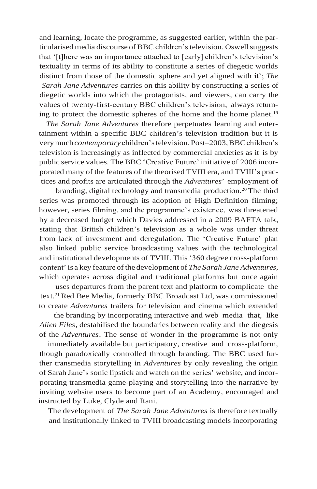and learning, locate the programme, as suggested earlier, within the particularised media discourse of BBC children's television. Oswell suggests that '[t]here was an importance attached to [early] children's television's textuality in terms of its ability to constitute a series of diegetic worlds distinct from those of the domestic sphere and yet aligned with it'; *The Sarah Jane Adventures* carries on this ability by constructing a series of diegetic worlds into which the protagonists, and viewers, can carry the values of twenty-first-century BBC children's television, always returning to protect the domestic spheres of the home and the home planet.<sup>19</sup>

*The Sarah Jane Adventures* therefore perpetuates learning and entertainment within a specific BBC children's television tradition but it is verymuch *contemporary* children'stelevision.Post–2003,BBCchildren's television is increasingly as inflected by commercial anxieties as it is by public service values. The BBC'Creative Future' initiative of 2006 incorporated many of the features of the theorised TVIII era, and TVIII's practices and profits are articulated through the *Adventures*' employment of

branding, digital technology and transmedia production.<sup>20</sup> The third series was promoted through its adoption of High Definition filming; however, series filming, and the programme's existence, was threatened by a decreased budget which Davies addressed in a 2009 BAFTA talk, stating that British children's television as a whole was under threat from lack of investment and deregulation. The 'Creative Future' plan also linked public service broadcasting values with the technological and institutional developments of TVIII. This '360 degree cross-platform content'is a key feature of the development of *The Sarah Jane Adventures*, which operates across digital and traditional platforms but once again

uses departures from the parent text and platform to complicate the text.21 Red Bee Media, formerly BBC Broadcast Ltd, was commissioned to create *Adventures* trailers for television and cinema which extended

the branding by incorporating interactive and web media that, like *Alien Files*, destabilised the boundaries between reality and the diegesis of the *Adventures*. The sense of wonder in the programme is not only

immediately available but participatory, creative and cross-platform, though paradoxically controlled through branding. The BBC used further transmedia storytelling in *Adventures* by only revealing the origin of Sarah Jane's sonic lipstick and watch on the series' website, and incorporating transmedia game-playing and storytelling into the narrative by inviting website users to become part of an Academy, encouraged and instructed by Luke, Clyde and Rani.

The development of *The Sarah Jane Adventures* is therefore textually and institutionally linked to TVIII broadcasting models incorporating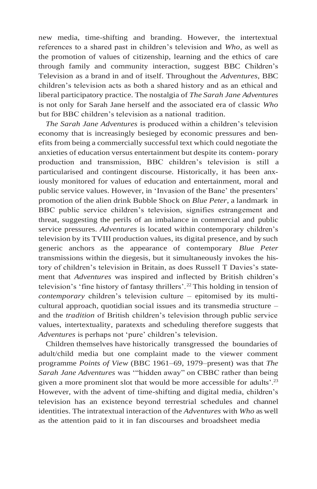new media, time-shifting and branding. However, the intertextual references to a shared past in children's television and *Who*, as well as the promotion of values of citizenship, learning and the ethics of care through family and community interaction, suggest BBC Children's Television as a brand in and of itself. Throughout the *Adventures*, BBC children's television acts as both a shared history and as an ethical and liberal participatory practice. The nostalgia of *The Sarah Jane Adventures*  is not only for Sarah Jane herself and the associated era of classic *Who*  but for BBC children's television as a national tradition.

*The Sarah Jane Adventures* is produced within a children's television economy that is increasingly besieged by economic pressures and benefits from being a commercially successful text which could negotiate the anxieties of education versus entertainment but despite its contem- porary production and transmission, BBC children's television is still a particularised and contingent discourse. Historically, it has been anxiously monitored for values of education and entertainment, moral and public service values. However, in 'Invasion of the Bane' the presenters' promotion of the alien drink Bubble Shock on *Blue Peter*, a landmark in BBC public service children's television, signifies estrangement and threat, suggesting the perils of an imbalance in commercial and public service pressures. *Adventures* is located within contemporary children's television by its TVIII production values, its digital presence, and by such generic anchors as the appearance of contemporary *Blue Peter*  transmissions within the diegesis, but it simultaneously invokes the history of children's television in Britain, as does Russell T Davies's statement that *Adventures* was inspired and inflected by British children's television's 'fine history of fantasy thrillers'.<sup>22</sup> This holding in tension of *contemporary* children's television culture – epitomised by its multicultural approach, quotidian social issues and its transmedia structure – and the *tradition* of British children's television through public service values, intertextuality, paratexts and scheduling therefore suggests that *Adventures* is perhaps not 'pure' children's television.

Children themselves have historically transgressed the boundaries of adult/child media but one complaint made to the viewer comment programme *Points of View* (BBC 1961–69, 1979–present) was that *The Sarah Jane Adventures* was '"hidden away" on CBBC rather than being given a more prominent slot that would be more accessible for adults'.<sup>23</sup> However, with the advent of time-shifting and digital media, children's television has an existence beyond terrestrial schedules and channel identities. The intratextual interaction of the *Adventures* with *Who* as well as the attention paid to it in fan discourses and broadsheet media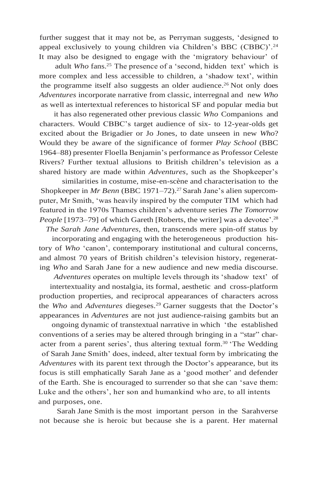further suggest that it may not be, as Perryman suggests, 'designed to appeal exclusively to young children via Children's BBC (CBBC)'.<sup>24</sup> It may also be designed to engage with the 'migratory behaviour' of

adult *Who* fans.<sup>25</sup> The presence of a 'second, hidden text' which is more complex and less accessible to children, a 'shadow text', within the programme itself also suggests an older audience.<sup>26</sup> Not only does *Adventures* incorporate narrative from classic, interregnal and new *Who* as well as intertextual references to historical SF and popular media but

it has also regenerated other previous classic *Who* Companions and characters. Would CBBC's target audience of six- to 12-year-olds get excited about the Brigadier or Jo Jones, to date unseen in new *Who*? Would they be aware of the significance of former *Play School* (BBC 1964–88) presenter Floella Benjamin's performance as Professor Celeste Rivers? Further textual allusions to British children's television as a shared history are made within *Adventures*, such as the Shopkeeper's

similarities in costume, mise-en-scène and characterisation to the Shopkeeper in *Mr Benn* (BBC 1971–72).<sup>27</sup> Sarah Jane's alien supercomputer, Mr Smith, 'was heavily inspired by the computer TIM which had featured in the 1970s Thames children's adventure series *The Tomorrow People* [1973–79] of which Gareth [Roberts, the writer] was a devotee'.<sup>28</sup>

*The Sarah Jane Adventures*, then, transcends mere spin-off status by incorporating and engaging with the heterogeneous production history of *Who* 'canon', contemporary institutional and cultural concerns, and almost 70 years of British children's television history, regenerating *Who* and Sarah Jane for a new audience and new media discourse.

*Adventures* operates on multiple levels through its 'shadow text' of intertextuality and nostalgia, its formal, aesthetic and cross-platform production properties, and reciprocal appearances of characters across the *Who* and *Adventures* diegeses.<sup>29</sup> Garner suggests that the Doctor's appearances in *Adventures* are not just audience-raising gambits but an

ongoing dynamic of transtextual narrative in which 'the established conventions of a series may be altered through bringing in a "star" character from a parent series', thus altering textual form.<sup>30</sup> 'The Wedding of Sarah Jane Smith' does, indeed, alter textual form by imbricating the *Adventures* with its parent text through the Doctor's appearance, but its focus is still emphatically Sarah Jane as a 'good mother' and defender of the Earth. She is encouraged to surrender so that she can 'save them: Luke and the others', her son and humankind who are, to all intents and purposes, one.

Sarah Jane Smith is the most important person in the Sarahverse not because she is heroic but because she is a parent. Her maternal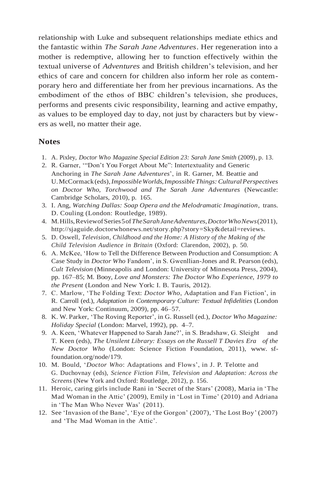relationship with Luke and subsequent relationships mediate ethics and the fantastic within *The Sarah Jane Adventures*. Her regeneration into a mother is redemptive, allowing her to function effectively within the textual universe of *Adventures* and British children's television, and her ethics of care and concern for children also inform her role as contemporary hero and differentiate her from her previous incarnations. As the embodiment of the ethos of BBC children's television, she produces, performs and presents civic responsibility, learning and active empathy, as values to be employed day to day, not just by characters but by viewers as well, no matter their age.

## **Notes**

- 1. A. Pixley, *Doctor Who Magazine Special Edition 23: Sarah Jane Smith* (2009), p. 13.
- 2. R. Garner, '"Don't You Forget About Me": Intertextuality and Generic Anchoring in *The Sarah Jane Adventures*', in R. Garner, M. Beattie and U.McCormack(eds),*ImpossibleWorlds,Impossible Things: CulturalPerspectives on Doctor Who, Torchwood and The Sarah Jane Adventures* (Newcastle: Cambridge Scholars, 2010), p. 165.
- 3. I. Ang, *Watching Dallas: Soap Opera and the Melodramatic Imagination*, trans. D. Couling (London: Routledge, 1989).
- 4. M.Hills,ReviewofSeries5of*TheSarahJaneAdventures*,*DoctorWhoNews*(2011), [http://sjaguide.doctorwhonews.net/story.php?story=Sky&detail=reviews.](http://sjaguide.doctorwhonews.net/story.php?story=Sky&detail=reviews)
- 5. D. Oswell, *Television, Childhood and the Home: A History of the Making of the Child Television Audience in Britain* (Oxford: Clarendon, 2002), p. 50.
- 6. A. McKee, 'How to Tell the Difference Between Production and Consumption: A Case Study in *Doctor Who* Fandom', in S. Gwenllian-Jones and R. Pearson (eds), *Cult Television* (Minneapolis and London: University of Minnesota Press, 2004), pp. 167–85; M. Booy, *Love and Monsters: The Doctor Who Experience, 1979 to the Present* (London and New York: I. B. Tauris, 2012).
- 7. C. Marlow, 'The Folding Text: *Doctor Who*, Adaptation and Fan Fiction', in R. Carroll (ed.), *Adaptation in Contemporary Culture: Textual Infidelities* (London and New York: Continuum, 2009), pp. 46–57.
- 8. K. W. Parker, 'The Roving Reporter', in G. Russell (ed.), *Doctor Who Magazine: Holiday Special* (London: Marvel, 1992), pp. 4–7.
- 9. A. Keen, 'Whatever Happened to Sarah Jane?', in S. Bradshaw, G. Sleight and T. Keen (eds), *The Unsilent Library: Essays on the Russell T Davies Era of the New Doctor Who* (London: Science Fiction Foundation, 2011), [www.](http://www/) sffoundation.org/node/179.
- 10. M. Bould, '*Doctor Who*: Adaptations and Flows', in J. P. Telotte and G. Duchovnay (eds), *Science Fiction Film, Television and Adaptation: Across the Screens* (New York and Oxford: Routledge, 2012), p. 156.
- 11. Heroic, caring girls include Rani in 'Secret of the Stars' (2008), Maria in 'The Mad Woman in the Attic' (2009), Emily in 'Lost in Time' (2010) and Adriana in 'The Man Who Never Was' (2011).
- 12. See 'Invasion of the Bane', 'Eye of the Gorgon' (2007), 'The Lost Boy' (2007) and 'The Mad Woman in the Attic'.